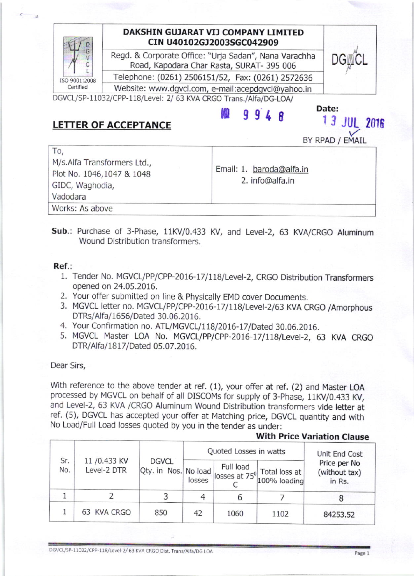## DAKSHIN GUJARAT VIJ COMPANY LIMITED cIN U40102cJ2003SGC042909

Regd. & Corporate Office: "Urja Sadan", Nana Varachha Road, Kapodara Char Rasta, SURAT- 395 006

Telephone: (0261) 2506151/52, Fax: (0261) 2572636

Website: www.dgvcl.com, e-mail:acepdgvcl@yahoo.in

DGVCL/SP-11032/CPP-118/Level: 2/ 63 KVA CRGO Trans./Alfa/DG-LOA/

# LETTER OF ACCEPTANCE  $\begin{array}{cc} & \mathbb{R} & 9 & 9 & 4 & 8 \\ 1 & 9 & 9 & 4 & 8 \end{array}$

ISO 9001:2008 Certified

BY RPAD / EMAIL

**13 JUL 2016** 

Date:

| To,<br>M/s.Alfa Transformers Ltd.,<br>Plot No. 1046,1047 & 1048<br>GIDC, Waghodia,<br>Vadodara | Email: 1. baroda@alfa.in<br>2. info@alfa.in |
|------------------------------------------------------------------------------------------------|---------------------------------------------|
| Works: As above                                                                                |                                             |

Sub.: Purchase of 3-Phase, 11KV/0.433 KV, and Level-2, 63 KVA/CRGO Aluminum Wound Distribution transformers.

#### Ref.:

- 1. Tender No. MGVCL/PP/CPP-2016-17/118/Level-2, CRGO Distribution Transformers opened on 24.05.2016.
- 2. Your offer submitted on line & Physically EMD cover Documents.
- 3. MGVCL letter no. MGVCL/PP/CPP-2016-17/118/Level-2/63 KVA CRGO /Amorphous DTRs/Atfa/1656/Dated 30.06.2016.
- 4. Your Confirmation no. ATL/MGVCL/118/2016-17/Dated 30.06.2016.
- 5. MGVCL Master LOA No. MGVCL/PP/CPP-2016-17/118/Level-2, 63 KVA CRGO DTR/Alfa/1817/Dated 05.07.2016.

Dear Sirs,

With reference to the above tender at ref.  $(1)$ , your offer at ref.  $(2)$  and Master LOA processed by MGVCL on behalf of all DISCOMS for supply of 3-phase, 11KV/0.433 KV, and Level-2, 63 KVA /CRGO Aluminum Wound Distribution transformers vide letter at ref. (5), DGVCL has accepted your offer at Matching price, DGVCL quantity and with No Load/Full Load losses quoted by you in the tender as under:

### With Price Variation Clause

| Sr.<br>No. | 11 / 0.433 KV<br>Level-2 DTR | <b>DGVCL</b><br>Qty. in Nos. No load | Quoted Losses in watts |           |                                                                         | Unit End Cost                           |  |
|------------|------------------------------|--------------------------------------|------------------------|-----------|-------------------------------------------------------------------------|-----------------------------------------|--|
|            |                              |                                      | losses                 | Full load | $\frac{d}{d}$ losses at 75 <sup>0</sup> Total loss at  <br>100% loading | Price per No<br>(without tax)<br>in Rs. |  |
|            |                              |                                      |                        |           |                                                                         |                                         |  |
|            | 63 KVA CRGO                  | 850                                  | 42                     | 1060      | 1102                                                                    | 84253.52                                |  |

DGVCL/SP-11032/CPP-118/Level-2/63 KVA CRGO Dist. Trans/Alfa/DG LOA

Page 1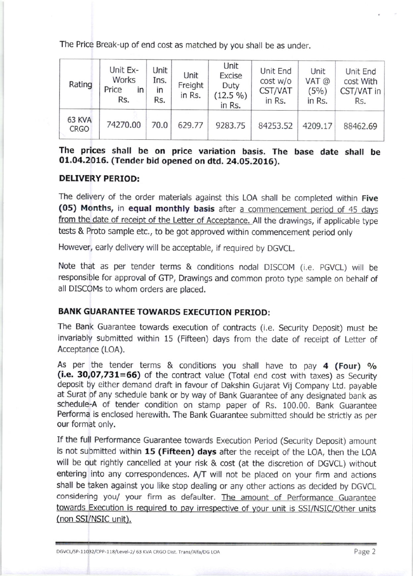The Price Break-up of end cost as matched by you shall be as under.

| Rating                | Unit Ex-<br>Works<br>Price<br>in<br>Rs. | Unit<br>Ins.<br>ın<br>Rs. | Unit<br>Freight<br>in Rs. | Unit<br><b>Excise</b><br>Duty<br>$(12.5\%)$<br>in Rs. | Unit End<br>cost w/o<br>CST/VAT<br>in Rs. | Unit<br>VAT @<br>(5%)<br>in Rs. | Unit End<br>cost With<br>CST/VAT in<br>Rs. |
|-----------------------|-----------------------------------------|---------------------------|---------------------------|-------------------------------------------------------|-------------------------------------------|---------------------------------|--------------------------------------------|
| 63 KVA<br><b>CRGO</b> | 74270.00                                | 70.0                      | 629.77                    | 9283.75                                               | 84253.52                                  | 4209.17                         | 88462.69                                   |

The prices shall be on price variation basis. The base date shall be O1.04.2016. (Tender bid opened on dtd. 24,05.2016).

### DELIVERY PERIOD:

The delivery of the order materials against this LOA shall be completed within Five (05) Months, in equal monthly basis after a commencement period of 45 days from the date of receipt of the Letter of Acceptance. All the drawings, if applicable type tests & Proto sample etc., to be got approved within commencement period only

However, early delivery will be acceptable, if required by DGVCL.

Note that as per tender terms & conditions nodal DISCOM (i.e. PGVCL) will be responsible for approval of GTP, Drawings and common proto type sample on behalf of all DISCOMS to whom orders are placed.

#### BANK GUARANTEE TOWARDS EXECUTION PERIOD:

The Bank Guarantee towards execution of contracts (i.e. Security Deposit) must be invariably submitted within 15 (Fifteen) days from the date of receipt of Letter of Acceptance (LOA).

As per the tender terms & conditions you shall have to pay  $4$  (Four) %  $(i.e. 30,07,731=66)$  of the contract value (Total end cost with taxes) as Security deposit by either demand draft in favour of Dakshin Gujarat Vij Company Ltd. payabte at Surat of any schedule bank or by way of Bank Guarantee of any designated bank as schedule-A of tender condition on stamp paper of Rs. 100.00. Bank Guarantee Performa is enclosed herewith. The Bank Guarantee submitted should be strictly as per our format only.

If the full Performance Guarantee towards Execution Period (Security Deposit) amount is not submitted within 15 (Fifteen) days after the receipt of the LOA, then the LOA will be out rightly cancelled at your risk & cost (at the discretion of DGVCL) without entering into any correspondences. A/T will not be placed on your firm and actions shall be taken against you like stop dealing or any other actions as decided by DGVCL considering you/ your firm as defaulter. The amount of Performance Guarantee towards Execution is required to pay irrespective of your unit is SSI/NSIC/Other units (non SSI/NSIC unit).